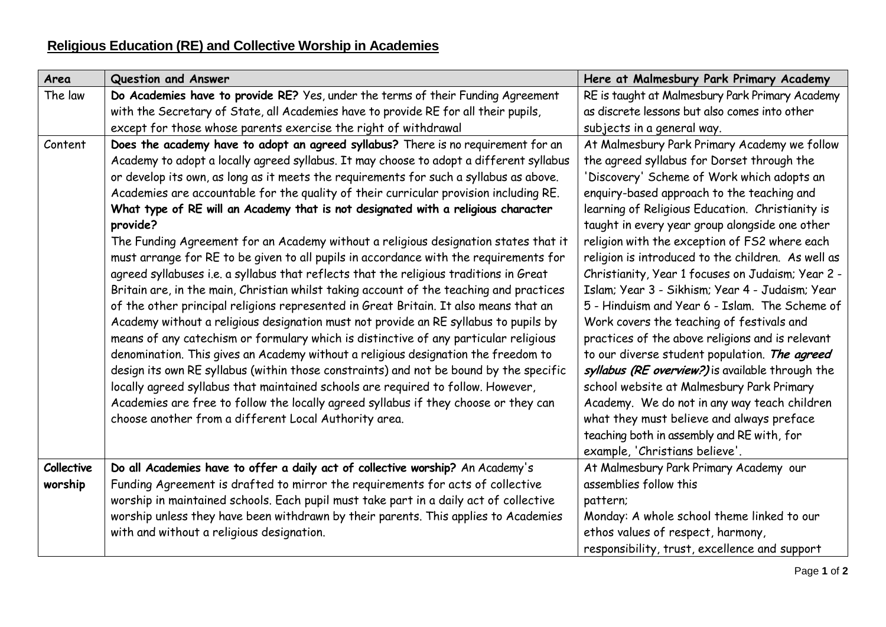| Area              | Question and Answer                                                                                                                                                                                                                                                                                                                                                                                                                                                                                                                                                                                                                                                                                                                                                                                                                                                                                                                                                                                                                                                                                                                                                                                                                                                                                                                                                                                                                                                                                                               | Here at Malmesbury Park Primary Academy                                                                                                                                                                                                                                                                                                                                                                                                                                                                                                                                                                                                                                                                                                                                                                                                                                                                                                                                                       |
|-------------------|-----------------------------------------------------------------------------------------------------------------------------------------------------------------------------------------------------------------------------------------------------------------------------------------------------------------------------------------------------------------------------------------------------------------------------------------------------------------------------------------------------------------------------------------------------------------------------------------------------------------------------------------------------------------------------------------------------------------------------------------------------------------------------------------------------------------------------------------------------------------------------------------------------------------------------------------------------------------------------------------------------------------------------------------------------------------------------------------------------------------------------------------------------------------------------------------------------------------------------------------------------------------------------------------------------------------------------------------------------------------------------------------------------------------------------------------------------------------------------------------------------------------------------------|-----------------------------------------------------------------------------------------------------------------------------------------------------------------------------------------------------------------------------------------------------------------------------------------------------------------------------------------------------------------------------------------------------------------------------------------------------------------------------------------------------------------------------------------------------------------------------------------------------------------------------------------------------------------------------------------------------------------------------------------------------------------------------------------------------------------------------------------------------------------------------------------------------------------------------------------------------------------------------------------------|
| The law           | Do Academies have to provide RE? Yes, under the terms of their Funding Agreement                                                                                                                                                                                                                                                                                                                                                                                                                                                                                                                                                                                                                                                                                                                                                                                                                                                                                                                                                                                                                                                                                                                                                                                                                                                                                                                                                                                                                                                  | RE is taught at Malmesbury Park Primary Academy                                                                                                                                                                                                                                                                                                                                                                                                                                                                                                                                                                                                                                                                                                                                                                                                                                                                                                                                               |
|                   | with the Secretary of State, all Academies have to provide RE for all their pupils,                                                                                                                                                                                                                                                                                                                                                                                                                                                                                                                                                                                                                                                                                                                                                                                                                                                                                                                                                                                                                                                                                                                                                                                                                                                                                                                                                                                                                                               | as discrete lessons but also comes into other                                                                                                                                                                                                                                                                                                                                                                                                                                                                                                                                                                                                                                                                                                                                                                                                                                                                                                                                                 |
|                   | except for those whose parents exercise the right of withdrawal                                                                                                                                                                                                                                                                                                                                                                                                                                                                                                                                                                                                                                                                                                                                                                                                                                                                                                                                                                                                                                                                                                                                                                                                                                                                                                                                                                                                                                                                   | subjects in a general way.                                                                                                                                                                                                                                                                                                                                                                                                                                                                                                                                                                                                                                                                                                                                                                                                                                                                                                                                                                    |
| Content           | Does the academy have to adopt an agreed syllabus? There is no requirement for an<br>Academy to adopt a locally agreed syllabus. It may choose to adopt a different syllabus<br>or develop its own, as long as it meets the requirements for such a syllabus as above.<br>Academies are accountable for the quality of their curricular provision including RE.<br>What type of RE will an Academy that is not designated with a religious character<br>provide?<br>The Funding Agreement for an Academy without a religious designation states that it<br>must arrange for RE to be given to all pupils in accordance with the requirements for<br>agreed syllabuses i.e. a syllabus that reflects that the religious traditions in Great<br>Britain are, in the main, Christian whilst taking account of the teaching and practices<br>of the other principal religions represented in Great Britain. It also means that an<br>Academy without a religious designation must not provide an RE syllabus to pupils by<br>means of any catechism or formulary which is distinctive of any particular religious<br>denomination. This gives an Academy without a religious designation the freedom to<br>design its own RE syllabus (within those constraints) and not be bound by the specific<br>locally agreed syllabus that maintained schools are required to follow. However,<br>Academies are free to follow the locally agreed syllabus if they choose or they can<br>choose another from a different Local Authority area. | At Malmesbury Park Primary Academy we follow<br>the agreed syllabus for Dorset through the<br>'Discovery' Scheme of Work which adopts an<br>enquiry-based approach to the teaching and<br>learning of Religious Education. Christianity is<br>taught in every year group alongside one other<br>religion with the exception of FS2 where each<br>religion is introduced to the children. As well as<br>Christianity, Year 1 focuses on Judaism; Year 2 -<br>Islam; Year 3 - Sikhism; Year 4 - Judaism; Year<br>5 - Hinduism and Year 6 - Islam. The Scheme of<br>Work covers the teaching of festivals and<br>practices of the above religions and is relevant<br>to our diverse student population. The agreed<br>syllabus (RE overview?) is available through the<br>school website at Malmesbury Park Primary<br>Academy. We do not in any way teach children<br>what they must believe and always preface<br>teaching both in assembly and RE with, for<br>example, 'Christians believe'. |
| <b>Collective</b> | Do all Academies have to offer a daily act of collective worship? An Academy's                                                                                                                                                                                                                                                                                                                                                                                                                                                                                                                                                                                                                                                                                                                                                                                                                                                                                                                                                                                                                                                                                                                                                                                                                                                                                                                                                                                                                                                    | At Malmesbury Park Primary Academy our                                                                                                                                                                                                                                                                                                                                                                                                                                                                                                                                                                                                                                                                                                                                                                                                                                                                                                                                                        |
| worship           | Funding Agreement is drafted to mirror the requirements for acts of collective                                                                                                                                                                                                                                                                                                                                                                                                                                                                                                                                                                                                                                                                                                                                                                                                                                                                                                                                                                                                                                                                                                                                                                                                                                                                                                                                                                                                                                                    | assemblies follow this                                                                                                                                                                                                                                                                                                                                                                                                                                                                                                                                                                                                                                                                                                                                                                                                                                                                                                                                                                        |
|                   | worship in maintained schools. Each pupil must take part in a daily act of collective                                                                                                                                                                                                                                                                                                                                                                                                                                                                                                                                                                                                                                                                                                                                                                                                                                                                                                                                                                                                                                                                                                                                                                                                                                                                                                                                                                                                                                             | pattern;                                                                                                                                                                                                                                                                                                                                                                                                                                                                                                                                                                                                                                                                                                                                                                                                                                                                                                                                                                                      |
|                   | worship unless they have been withdrawn by their parents. This applies to Academies                                                                                                                                                                                                                                                                                                                                                                                                                                                                                                                                                                                                                                                                                                                                                                                                                                                                                                                                                                                                                                                                                                                                                                                                                                                                                                                                                                                                                                               | Monday: A whole school theme linked to our                                                                                                                                                                                                                                                                                                                                                                                                                                                                                                                                                                                                                                                                                                                                                                                                                                                                                                                                                    |
|                   | with and without a religious designation.                                                                                                                                                                                                                                                                                                                                                                                                                                                                                                                                                                                                                                                                                                                                                                                                                                                                                                                                                                                                                                                                                                                                                                                                                                                                                                                                                                                                                                                                                         | ethos values of respect, harmony,                                                                                                                                                                                                                                                                                                                                                                                                                                                                                                                                                                                                                                                                                                                                                                                                                                                                                                                                                             |
|                   |                                                                                                                                                                                                                                                                                                                                                                                                                                                                                                                                                                                                                                                                                                                                                                                                                                                                                                                                                                                                                                                                                                                                                                                                                                                                                                                                                                                                                                                                                                                                   | responsibility, trust, excellence and support                                                                                                                                                                                                                                                                                                                                                                                                                                                                                                                                                                                                                                                                                                                                                                                                                                                                                                                                                 |